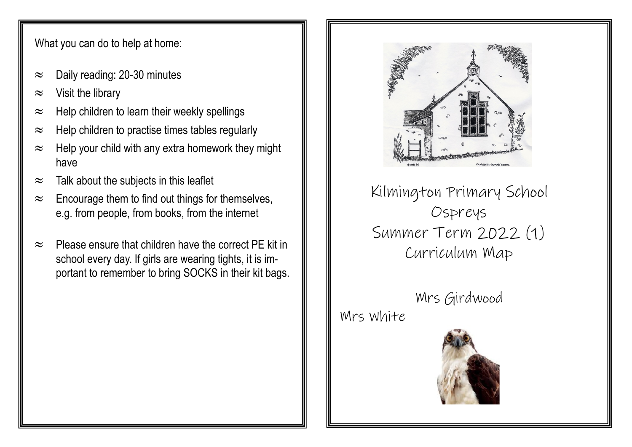What you can do to help at home:

- $\approx$  Daily reading: 20-30 minutes
- $\approx$  Visit the library
- $\approx$  Help children to learn their weekly spellings
- $\approx$  Help children to practise times tables regularly
- $\approx$  Help your child with any extra homework they might have
- $\approx$  Talk about the subjects in this leaflet
- $\approx$  Encourage them to find out things for themselves, e.g. from people, from books, from the internet
- $\approx$  Please ensure that children have the correct PF kit in school every day. If girls are wearing tights, it is important to remember to bring SOCKS in their kit bags.

Kilmington Primary School Ospreys Summer Term 2022 (1) Curriculum Map

Mrs Girdwood Mrs White